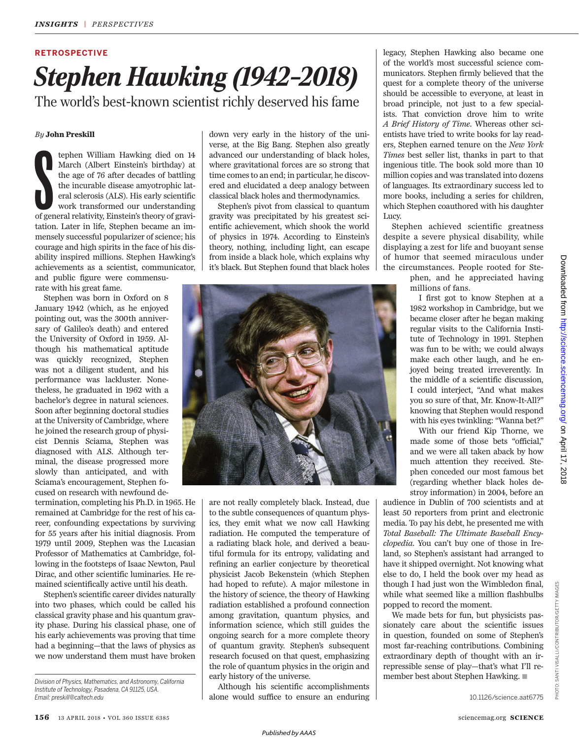## **RETROSPECTIVE**

## *Stephen Hawking (1942–2018)* The world's best-known scientist richly deserved his fame

## *By* **John Preskill**

tephen William Hawking died on 14<br>March (Albert Einstein's birthday) at<br>the age of 76 after decades of battling<br>the incurable disease amyotrophic lat-<br>eral sclerosis (ALS). His early scientific<br>work transformed our underst tephen William Hawking died on 14 March (Albert Einstein's birthday) at the age of 76 after decades of battling the incurable disease amyotrophic lateral sclerosis (ALS). His early scientific work transformed our understanding tation. Later in life, Stephen became an immensely successful popularizer of science; his courage and high spirits in the face of his disability inspired millions. Stephen Hawking's achievements as a scientist, communicator, and public figure were commensu-

rate with his great fame.

Stephen was born in Oxford on 8 January 1942 (which, as he enjoyed pointing out, was the 300th anniversary of Galileo's death) and entered the University of Oxford in 1959. Although his mathematical aptitude was quickly recognized, Stephen was not a diligent student, and his performance was lackluster. Nonetheless, he graduated in 1962 with a bachelor's degree in natural sciences. Soon after beginning doctoral studies at the University of Cambridge, where he joined the research group of physicist Dennis Sciama, Stephen was diagnosed with ALS. Although terminal, the disease progressed more slowly than anticipated, and with Sciama's encouragement, Stephen focused on research with newfound de-

termination, completing his Ph.D. in 1965. He remained at Cambridge for the rest of his career, confounding expectations by surviving for 55 years after his initial diagnosis. From 1979 until 2009, Stephen was the Lucasian Professor of Mathematics at Cambridge, following in the footsteps of Isaac Newton, Paul Dirac, and other scientific luminaries. He remained scientifically active until his death.

Stephen's scientific career divides naturally into two phases, which could be called his classical gravity phase and his quantum gravity phase. During his classical phase, one of his early achievements was proving that time had a beginning—that the laws of physics as we now understand them must have broken down very early in the history of the universe, at the Big Bang. Stephen also greatly advanced our understanding of black holes, where gravitational forces are so strong that time comes to an end; in particular, he discovered and elucidated a deep analogy between classical black holes and thermodynamics.

Stephen's pivot from classical to quantum gravity was precipitated by his greatest scientific achievement, which shook the world of physics in 1974. According to Einstein's theory, nothing, including light, can escape from inside a black hole, which explains why it's black. But Stephen found that black holes



are not really completely black. Instead, due to the subtle consequences of quantum physics, they emit what we now call Hawking radiation. He computed the temperature of a radiating black hole, and derived a beautiful formula for its entropy, validating and refining an earlier conjecture by theoretical physicist Jacob Bekenstein (which Stephen had hoped to refute). A major milestone in the history of science, the theory of Hawking radiation established a profound connection among gravitation, quantum physics, and information science, which still guides the ongoing search for a more complete theory of quantum gravity. Stephen's subsequent research focused on that quest, emphasizing the role of quantum physics in the origin and early history of the universe.

Although his scientific accomplishments alone would suffice to ensure an enduring

legacy, Stephen Hawking also became one of the world's most successful science communicators. Stephen firmly believed that the quest for a complete theory of the universe should be accessible to everyone, at least in broad principle, not just to a few specialists. That conviction drove him to write *A Brief History of Time*. Whereas other scientists have tried to write books for lay readers, Stephen earned tenure on the *New York Times* best seller list, thanks in part to that ingenious title. The book sold more than 10 million copies and was translated into dozens of languages. Its extraordinary success led to more books, including a series for children, which Stephen coauthored with his daughter Lucy.

Stephen achieved scientific greatness despite a severe physical disability, while displaying a zest for life and buoyant sense of humor that seemed miraculous under the circumstances. People rooted for Ste-

> phen, and he appreciated having millions of fans.

> I first got to know Stephen at a 1982 workshop in Cambridge, but we became closer after he began making regular visits to the California Institute of Technology in 1991. Stephen was fun to be with; we could always make each other laugh, and he enjoyed being treated irreverently. In the middle of a scientific discussion, I could interject, "And what makes you so sure of that, Mr. Know-It-All?" knowing that Stephen would respond with his eyes twinkling: "Wanna bet?"

> With our friend Kip Thorne, we made some of those bets "official," and we were all taken aback by how much attention they received. Stephen conceded our most famous bet (regarding whether black holes destroy information) in 2004, before an

audience in Dublin of 700 scientists and at least 50 reporters from print and electronic media. To pay his debt, he presented me with *Total Baseball: The Ultimate Baseball Encyclopedia*. You can't buy one of those in Ireland, so Stephen's assistant had arranged to have it shipped overnight. Not knowing what else to do, I held the book over my head as though I had just won the Wimbledon final, while what seemed like a million flashbulbs popped to record the moment.

We made bets for fun, but physicists passionately care about the scientific issues in question, founded on some of Stephen's most far-reaching contributions. Combining extraordinary depth of thought with an irrepressible sense of play—that's what I'll remember best about Stephen Hawking.  $\blacksquare$ 

Downloaded from http://science.sciencemag.org/ on April 17, 2018 on April 17, 2018 <http://science.sciencemag.org/> Downloaded from

*Division of Physics, Mathematics, and Astronomy, California Institute of Technology, Pasadena, CA 91125, USA. Email: preskill@caltech.edu*